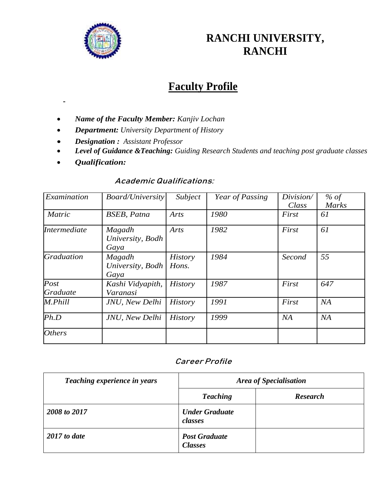

# **RANCHI UNIVERSITY, RANCHI**

## **Faculty Profile**

- *Name of the Faculty Member: Kanjiv Lochan*
- *Department: University Department of History*
- *Designation : Assistant Professor*
- *Level of Guidance &Teaching: Guiding Research Students and teaching post graduate classes*
- *Qualification:*

#### **Academic Qualifications:**

| Examination         | <b>Board/University</b>            | Subject                 | Year of Passing | Division/<br>Class | $%$ of<br><b>Marks</b> |
|---------------------|------------------------------------|-------------------------|-----------------|--------------------|------------------------|
| <b>Matric</b>       | <b>BSEB</b> , Patna                | Arts                    | 1980            | First              | 61                     |
| <i>Intermediate</i> | Magadh<br>University, Bodh<br>Gaya | Arts                    | 1982            | First              | 61                     |
| <b>Graduation</b>   | Magadh<br>University, Bodh<br>Gaya | <b>History</b><br>Hons. | 1984            | Second             | 55                     |
| Post<br>Graduate    | Kashi Vidyapith,<br>Varanasi       | <b>History</b>          | 1987            | First              | 647                    |
| M.Phill             | JNU, New Delhi                     | <b>History</b>          | 1991            | First              | NA                     |
| Ph.D                | JNU, New Delhi                     | <b>History</b>          | 1999            | NA                 | NA                     |
| <b>Others</b>       |                                    |                         |                 |                    |                        |

### **Career Profile**

| Teaching experience in years | Area of Specialisation                 |                 |  |
|------------------------------|----------------------------------------|-----------------|--|
|                              | <b>Teaching</b>                        | <b>Research</b> |  |
| 2008 to 2017                 | <b>Under Graduate</b><br>classes       |                 |  |
| $2017$ to date               | <b>Post Graduate</b><br><b>Classes</b> |                 |  |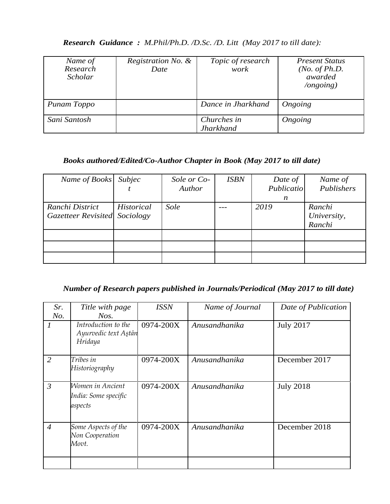| Name of      | Registration No. & | Topic of research  | <b>Present Status</b>   |
|--------------|--------------------|--------------------|-------------------------|
| Research     | Date               | work               | ( <i>No. of Ph.D.</i>   |
| Scholar      |                    |                    | awarded                 |
|              |                    |                    | $\log$ <i>ongoing</i> ) |
|              |                    |                    |                         |
|              |                    |                    |                         |
| Punam Toppo  |                    | Dance in Jharkhand | Ongoing                 |
|              |                    |                    |                         |
| Sani Santosh |                    | Churches in        |                         |
|              |                    |                    |                         |
|              |                    | <b>Jharkhand</b>   | Ongoing                 |

## *Research Guidance : M.Phil/Ph.D. /D.Sc. /D. Litt (May 2017 to till date):*

#### *Books authored/Edited/Co-Author Chapter in Book (May 2017 to till date)*

| Name of Books Subjec                                    |                   | Sole or Co-<br>Author | <b>ISBN</b> | Date of<br>Publicatio<br>n | Name of<br>Publishers           |
|---------------------------------------------------------|-------------------|-----------------------|-------------|----------------------------|---------------------------------|
| Ranchi District<br><b>Gazetteer Revisited</b> Sociology | <b>Historical</b> | Sole                  |             | 2019                       | Ranchi<br>University,<br>Ranchi |
|                                                         |                   |                       |             |                            |                                 |
|                                                         |                   |                       |             |                            |                                 |
|                                                         |                   |                       |             |                            |                                 |

## *Number of Research papers published in Journals/Periodical (May 2017 to till date)*

| Sr.            | Title with page                                        | <b>ISSN</b> | Name of Journal | Date of Publication |
|----------------|--------------------------------------------------------|-------------|-----------------|---------------------|
| No.            | Nos.                                                   |             |                 |                     |
| 1              | Introduction to the<br>Ayurvedic text Aştān<br>Hridaya | 0974-200X   | Anusandhanika   | <b>July 2017</b>    |
| $\overline{2}$ | Tribes in<br>Historiography                            | 0974-200X   | Anusandhanika   | December 2017       |
| $\mathfrak{Z}$ | Women in Ancient<br>India: Some specific<br>aspects    | 0974-200X   | Anusandhanika   | <b>July 2018</b>    |
| $\overline{4}$ | Some Aspects of the<br>Non Cooperation<br>Movt.        | 0974-200X   | Anusandhanika   | December 2018       |
|                |                                                        |             |                 |                     |